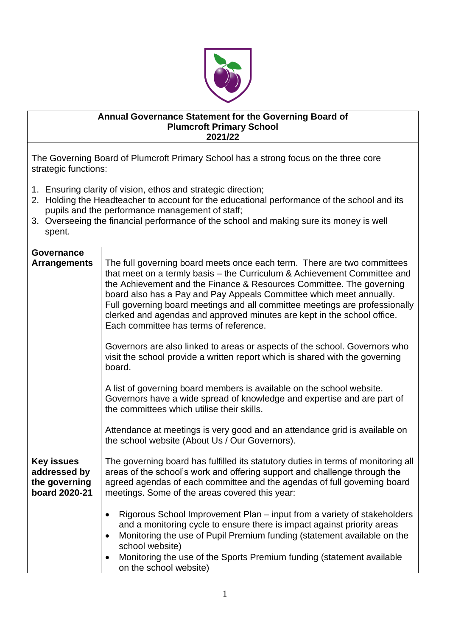

## **Annual Governance Statement for the Governing Board of Plumcroft Primary School 2021/22**

The Governing Board of Plumcroft Primary School has a strong focus on the three core strategic functions:

- 1. Ensuring clarity of vision, ethos and strategic direction;
- 2. Holding the Headteacher to account for the educational performance of the school and its pupils and the performance management of staff;
- 3. Overseeing the financial performance of the school and making sure its money is well spent.

| Governance<br><b>Arrangements</b>                                   | The full governing board meets once each term. There are two committees<br>that meet on a termly basis - the Curriculum & Achievement Committee and<br>the Achievement and the Finance & Resources Committee. The governing<br>board also has a Pay and Pay Appeals Committee which meet annually.<br>Full governing board meetings and all committee meetings are professionally<br>clerked and agendas and approved minutes are kept in the school office.<br>Each committee has terms of reference.<br>Governors are also linked to areas or aspects of the school. Governors who<br>visit the school provide a written report which is shared with the governing<br>board.<br>A list of governing board members is available on the school website.<br>Governors have a wide spread of knowledge and expertise and are part of<br>the committees which utilise their skills. |
|---------------------------------------------------------------------|----------------------------------------------------------------------------------------------------------------------------------------------------------------------------------------------------------------------------------------------------------------------------------------------------------------------------------------------------------------------------------------------------------------------------------------------------------------------------------------------------------------------------------------------------------------------------------------------------------------------------------------------------------------------------------------------------------------------------------------------------------------------------------------------------------------------------------------------------------------------------------|
|                                                                     | Attendance at meetings is very good and an attendance grid is available on<br>the school website (About Us / Our Governors).                                                                                                                                                                                                                                                                                                                                                                                                                                                                                                                                                                                                                                                                                                                                                     |
| <b>Key issues</b><br>addressed by<br>the governing<br>board 2020-21 | The governing board has fulfilled its statutory duties in terms of monitoring all<br>areas of the school's work and offering support and challenge through the<br>agreed agendas of each committee and the agendas of full governing board<br>meetings. Some of the areas covered this year:                                                                                                                                                                                                                                                                                                                                                                                                                                                                                                                                                                                     |
|                                                                     | Rigorous School Improvement Plan – input from a variety of stakeholders<br>$\bullet$<br>and a monitoring cycle to ensure there is impact against priority areas<br>Monitoring the use of Pupil Premium funding (statement available on the<br>$\bullet$<br>school website)<br>Monitoring the use of the Sports Premium funding (statement available<br>on the school website)                                                                                                                                                                                                                                                                                                                                                                                                                                                                                                    |